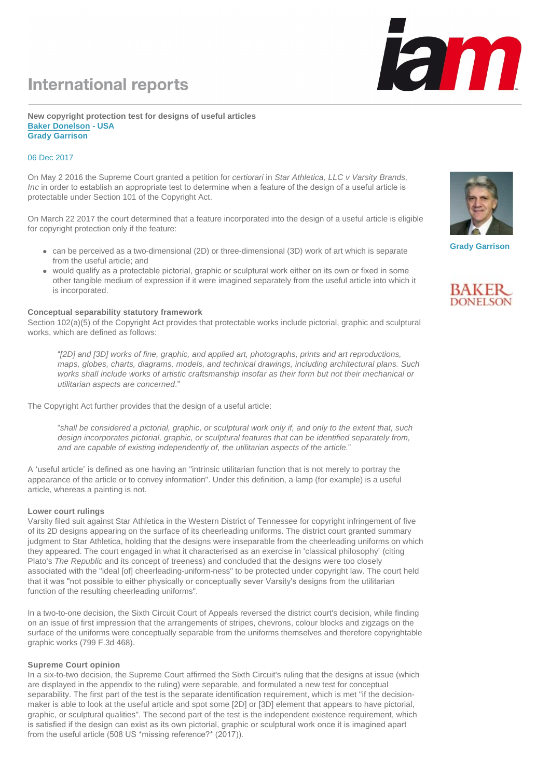## **International reports**

#### **New copyright protection test for designs of useful articles [Baker Donelson](http://www.iam-media.com/r.ashx?l=7XA9009) - USA Grady Garrison**

## 06 Dec 2017

On May 2 2016 the Supreme Court granted a petition for *certiorari* in *Star Athletica, LLC v Varsity Brands, Inc* in order to establish an appropriate test to determine when a feature of the design of a useful article is protectable under Section 101 of the Copyright Act.

On March 22 2017 the court determined that a feature incorporated into the design of a useful article is eligible for copyright protection only if the feature:

- can be perceived as a two-dimensional (2D) or three-dimensional (3D) work of art which is separate from the useful article; and
- would qualify as a protectable pictorial, graphic or sculptural work either on its own or fixed in some other tangible medium of expression if it were imagined separately from the useful article into which it is incorporated.

### **Conceptual separability statutory framework**

Section 102(a)(5) of the Copyright Act provides that protectable works include pictorial, graphic and sculptural works, which are defined as follows:

"*[2D] and [3D] works of fine, graphic, and applied art, photographs, prints and art reproductions, maps, globes, charts, diagrams, models, and technical drawings, including architectural plans. Such works shall include works of artistic craftsmanship insofar as their form but not their mechanical or utilitarian aspects are concerned*."

The Copyright Act further provides that the design of a useful article:

"*shall be considered a pictorial, graphic, or sculptural work only if, and only to the extent that, such design incorporates pictorial, graphic, or sculptural features that can be identified separately from, and are capable of existing independently of, the utilitarian aspects of the article.*"

A 'useful article' is defined as one having an "intrinsic utilitarian function that is not merely to portray the appearance of the article or to convey information". Under this definition, a lamp (for example) is a useful article, whereas a painting is not.

### **Lower court rulings**

Varsity filed suit against Star Athletica in the Western District of Tennessee for copyright infringement of five of its 2D designs appearing on the surface of its cheerleading uniforms. The district court granted summary judgment to Star Athletica, holding that the designs were inseparable from the cheerleading uniforms on which they appeared. The court engaged in what it characterised as an exercise in 'classical philosophy' (citing Plato's *The Republic* and its concept of treeness) and concluded that the designs were too closely associated with the "ideal [of] cheerleading-uniform-ness" to be protected under copyright law. The court held that it was "not possible to either physically or conceptually sever Varsity's designs from the utilitarian function of the resulting cheerleading uniforms".

In a two-to-one decision, the Sixth Circuit Court of Appeals reversed the district court's decision, while finding on an issue of first impression that the arrangements of stripes, chevrons, colour blocks and zigzags on the surface of the uniforms were conceptually separable from the uniforms themselves and therefore copyrightable graphic works (799 F.3d 468).

### **Supreme Court opinion**

In a six-to-two decision, the Supreme Court affirmed the Sixth Circuit's ruling that the designs at issue (which are displayed in the appendix to the ruling) were separable, and formulated a new test for conceptual separability. The first part of the test is the separate identification requirement, which is met "if the decisionmaker is able to look at the useful article and spot some [2D] or [3D] element that appears to have pictorial, graphic, or sculptural qualities". The second part of the test is the independent existence requirement, which is satisfied if the design can exist as its own pictorial, graphic or sculptural work once it is imagined apart from the useful article (508 US \*missing reference?\* (2017)).